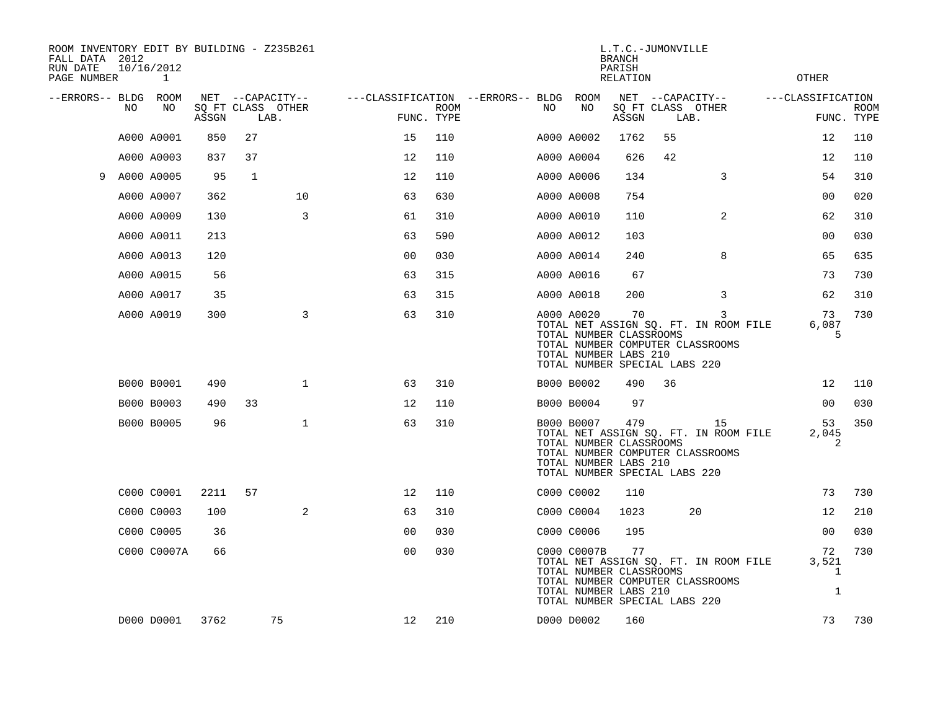| ROOM INVENTORY EDIT BY BUILDING - Z235B261<br>FALL DATA 2012<br>RUN DATE<br>PAGE NUMBER |    | 10/16/2012<br>1 |       |                                               |                |                                                      |             |     |             | L.T.C.-JUMONVILLE<br><b>BRANCH</b><br>PARISH<br><b>RELATION</b>                          |    |                                                                                 |                   | <b>OTHER</b>                                |             |
|-----------------------------------------------------------------------------------------|----|-----------------|-------|-----------------------------------------------|----------------|------------------------------------------------------|-------------|-----|-------------|------------------------------------------------------------------------------------------|----|---------------------------------------------------------------------------------|-------------------|---------------------------------------------|-------------|
| --ERRORS-- BLDG ROOM                                                                    | NO | NO              | ASSGN | NET --CAPACITY--<br>SQ FT CLASS OTHER<br>LAB. |                | ---CLASSIFICATION --ERRORS-- BLDG ROOM<br>FUNC. TYPE | <b>ROOM</b> | NO. | NO          | ASSGN                                                                                    |    | NET --CAPACITY--<br>SQ FT CLASS OTHER<br>LAB.                                   | ---CLASSIFICATION | FUNC. TYPE                                  | <b>ROOM</b> |
|                                                                                         |    | A000 A0001      | 850   | 27                                            |                | 15                                                   | 110         |     | A000 A0002  | 1762                                                                                     | 55 |                                                                                 |                   | 12                                          | 110         |
|                                                                                         |    | A000 A0003      | 837   | 37                                            |                | 12                                                   | 110         |     | A000 A0004  | 626                                                                                      | 42 |                                                                                 |                   | 12                                          | 110         |
|                                                                                         |    | 9 A000 A0005    | 95    | 1                                             |                | 12                                                   | 110         |     | A000 A0006  | 134                                                                                      |    | 3                                                                               |                   | 54                                          | 310         |
|                                                                                         |    | A000 A0007      | 362   |                                               | 10             | 63                                                   | 630         |     | A000 A0008  | 754                                                                                      |    |                                                                                 |                   | 0 <sub>0</sub>                              | 020         |
|                                                                                         |    | A000 A0009      | 130   |                                               | 3              | 61                                                   | 310         |     | A000 A0010  | 110                                                                                      |    | 2                                                                               |                   | 62                                          | 310         |
|                                                                                         |    | A000 A0011      | 213   |                                               |                | 63                                                   | 590         |     | A000 A0012  | 103                                                                                      |    |                                                                                 |                   | 0 <sub>0</sub>                              | 030         |
|                                                                                         |    | A000 A0013      | 120   |                                               |                | 00                                                   | 030         |     | A000 A0014  | 240                                                                                      |    | 8                                                                               |                   | 65                                          | 635         |
|                                                                                         |    | A000 A0015      | 56    |                                               |                | 63                                                   | 315         |     | A000 A0016  | 67                                                                                       |    |                                                                                 |                   | 73                                          | 730         |
|                                                                                         |    | A000 A0017      | 35    |                                               |                | 63                                                   | 315         |     | A000 A0018  | 200                                                                                      |    | 3                                                                               |                   | 62                                          | 310         |
|                                                                                         |    | A000 A0019      | 300   |                                               | 3              | 63                                                   | 310         |     | A000 A0020  | 70<br>TOTAL NUMBER CLASSROOMS<br>TOTAL NUMBER LABS 210<br>TOTAL NUMBER SPECIAL LABS 220  |    | 3<br>TOTAL NET ASSIGN SQ. FT. IN ROOM FILE<br>TOTAL NUMBER COMPUTER CLASSROOMS  |                   | 73<br>6,087<br>5                            | 730         |
|                                                                                         |    | B000 B0001      | 490   |                                               | $\mathbf 1$    | 63                                                   | 310         |     | B000 B0002  | 490                                                                                      | 36 |                                                                                 |                   | 12                                          | 110         |
|                                                                                         |    | B000 B0003      | 490   | 33                                            |                | 12                                                   | 110         |     | B000 B0004  | 97                                                                                       |    |                                                                                 |                   | 0 <sub>0</sub>                              | 030         |
|                                                                                         |    | B000 B0005      | 96    |                                               | $\mathbf{1}$   | 63                                                   | 310         |     | B000 B0007  | 479<br>TOTAL NUMBER CLASSROOMS<br>TOTAL NUMBER LABS 210<br>TOTAL NUMBER SPECIAL LABS 220 |    | 15<br>TOTAL NET ASSIGN SQ. FT. IN ROOM FILE<br>TOTAL NUMBER COMPUTER CLASSROOMS |                   | 53<br>2,045<br>2                            | 350         |
|                                                                                         |    | C000 C0001      | 2211  | 57                                            |                | 12                                                   | 110         |     | C000 C0002  | 110                                                                                      |    |                                                                                 |                   | 73                                          | 730         |
|                                                                                         |    | C000 C0003      | 100   |                                               | $\overline{a}$ | 63                                                   | 310         |     | C000 C0004  | 1023                                                                                     |    | 20                                                                              |                   | 12                                          | 210         |
|                                                                                         |    | C000 C0005      | 36    |                                               |                | 00                                                   | 030         |     | C000 C0006  | 195                                                                                      |    |                                                                                 |                   | 00                                          | 030         |
|                                                                                         |    | C000 C0007A     | 66    |                                               |                | 0 <sub>0</sub>                                       | 030         |     | C000 C0007B | 77<br>TOTAL NUMBER CLASSROOMS<br>TOTAL NUMBER LABS 210<br>TOTAL NUMBER SPECIAL LABS 220  |    | TOTAL NET ASSIGN SQ. FT. IN ROOM FILE<br>TOTAL NUMBER COMPUTER CLASSROOMS       |                   | 72<br>3,521<br>$\mathbf{1}$<br>$\mathbf{1}$ | 730         |
|                                                                                         |    | D000 D0001      | 3762  |                                               | 75             | 12                                                   | 210         |     | D000 D0002  | 160                                                                                      |    |                                                                                 |                   | 73                                          | 730         |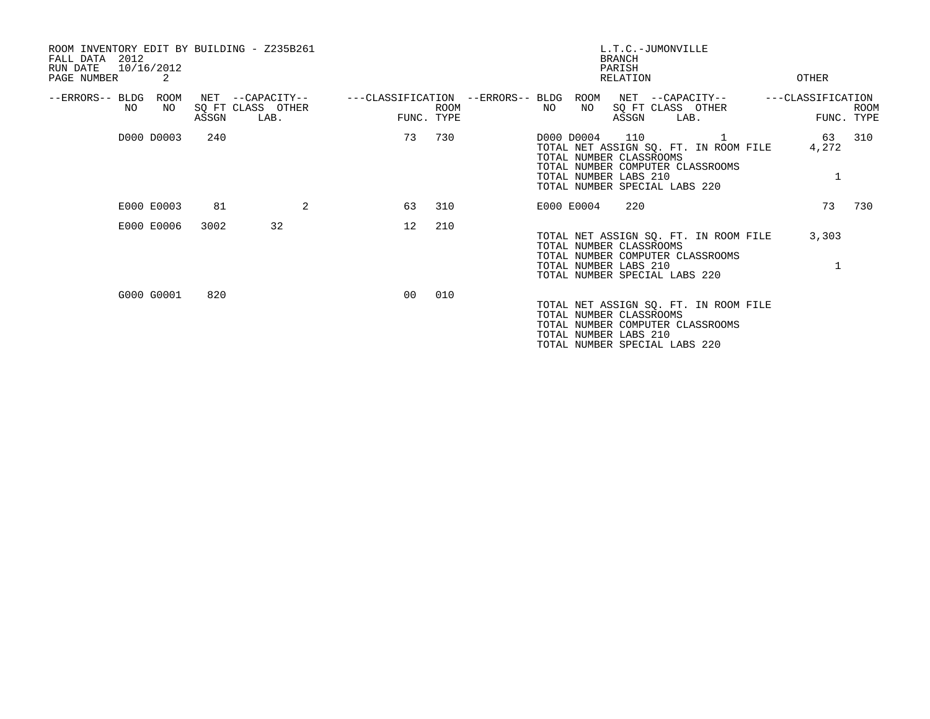| ROOM INVENTORY EDIT BY BUILDING - Z235B261<br>2012<br>FALL DATA<br>10/16/2012<br>RUN DATE<br>PAGE NUMBER | 2          |       |                                               |    |                           | L.T.C.-JUMONVILLE<br><b>BRANCH</b><br>PARISH<br>RELATION<br>OTHER                                                                                                                                              |
|----------------------------------------------------------------------------------------------------------|------------|-------|-----------------------------------------------|----|---------------------------|----------------------------------------------------------------------------------------------------------------------------------------------------------------------------------------------------------------|
| --ERRORS-- BLDG ROOM<br>NO                                                                               | NO         | ASSGN | NET --CAPACITY--<br>SQ FT CLASS OTHER<br>LAB. |    | <b>ROOM</b><br>FUNC. TYPE | ---CLASSIFICATION --ERRORS-- BLDG ROOM<br>NET --CAPACITY--<br>---CLASSIFICATION<br>NO<br>SQ FT CLASS OTHER<br>NO<br><b>ROOM</b><br>ASSGN<br>FUNC. TYPE<br>LAB.                                                 |
|                                                                                                          | D000 D0003 | 240   |                                               | 73 | 730                       | 110<br>310<br>D000 D0004<br>63<br>1<br>TOTAL NET ASSIGN SQ. FT. IN ROOM FILE<br>4,272<br>TOTAL NUMBER CLASSROOMS<br>TOTAL NUMBER COMPUTER CLASSROOMS<br>TOTAL NUMBER LABS 210<br>TOTAL NUMBER SPECIAL LABS 220 |
|                                                                                                          | E000 E0003 | 81    | 2                                             | 63 | 310                       | 73<br>730<br>E000 E0004<br>220                                                                                                                                                                                 |
|                                                                                                          | E000 E0006 | 3002  | 32                                            | 12 | 210                       | 3,303<br>TOTAL NET ASSIGN SQ. FT. IN ROOM FILE<br>TOTAL NUMBER CLASSROOMS<br>TOTAL NUMBER COMPUTER CLASSROOMS<br>TOTAL NUMBER LABS 210<br>TOTAL NUMBER SPECIAL LABS 220                                        |
|                                                                                                          | G000 G0001 | 820   |                                               | 00 | 010                       | TOTAL NET ASSIGN SQ. FT. IN ROOM FILE<br>TOTAL NUMBER CLASSROOMS<br>TOTAL NUMBER COMPUTER CLASSROOMS<br>TOTAL NUMBER LABS 210<br>TOTAL NUMBER SPECIAL LABS 220                                                 |